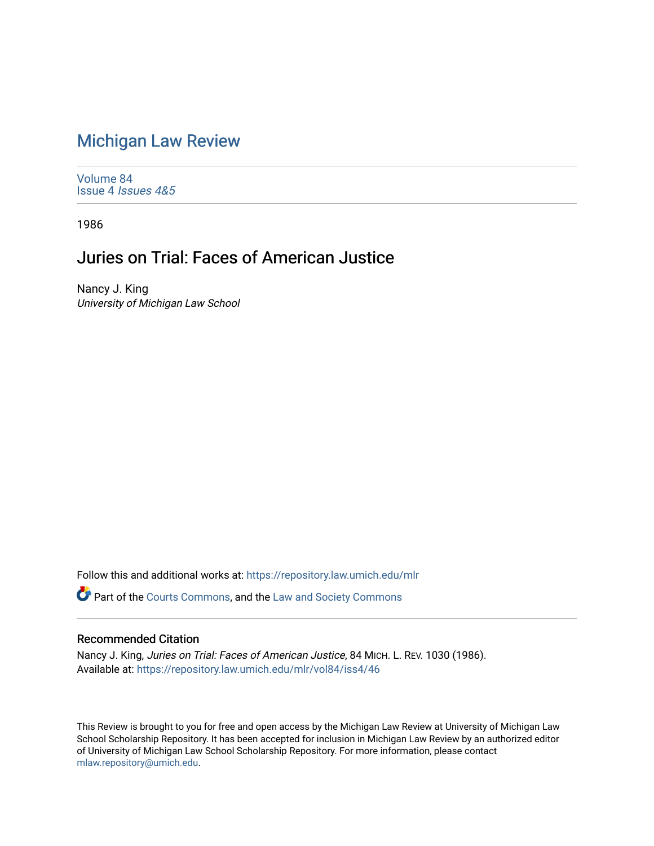## [Michigan Law Review](https://repository.law.umich.edu/mlr)

[Volume 84](https://repository.law.umich.edu/mlr/vol84) Issue 4 [Issues 4&5](https://repository.law.umich.edu/mlr/vol84/iss4) 

1986

## Juries on Trial: Faces of American Justice

Nancy J. King University of Michigan Law School

Follow this and additional works at: [https://repository.law.umich.edu/mlr](https://repository.law.umich.edu/mlr?utm_source=repository.law.umich.edu%2Fmlr%2Fvol84%2Fiss4%2F46&utm_medium=PDF&utm_campaign=PDFCoverPages) 

Part of the [Courts Commons,](http://network.bepress.com/hgg/discipline/839?utm_source=repository.law.umich.edu%2Fmlr%2Fvol84%2Fiss4%2F46&utm_medium=PDF&utm_campaign=PDFCoverPages) and the [Law and Society Commons](http://network.bepress.com/hgg/discipline/853?utm_source=repository.law.umich.edu%2Fmlr%2Fvol84%2Fiss4%2F46&utm_medium=PDF&utm_campaign=PDFCoverPages) 

## Recommended Citation

Nancy J. King, Juries on Trial: Faces of American Justice, 84 MICH. L. REV. 1030 (1986). Available at: [https://repository.law.umich.edu/mlr/vol84/iss4/46](https://repository.law.umich.edu/mlr/vol84/iss4/46?utm_source=repository.law.umich.edu%2Fmlr%2Fvol84%2Fiss4%2F46&utm_medium=PDF&utm_campaign=PDFCoverPages) 

This Review is brought to you for free and open access by the Michigan Law Review at University of Michigan Law School Scholarship Repository. It has been accepted for inclusion in Michigan Law Review by an authorized editor of University of Michigan Law School Scholarship Repository. For more information, please contact [mlaw.repository@umich.edu.](mailto:mlaw.repository@umich.edu)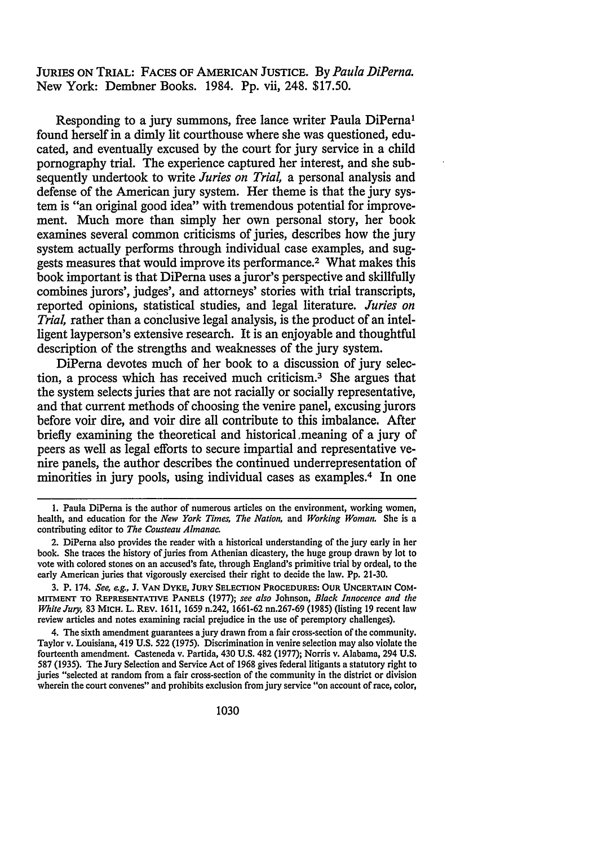JURIES ON TRIAL: FACES OF AMERICAN JUSTICE. By *Paula DiPerna.*  New York: Dembner Books. 1984. Pp. vii, 248. \$17.50.

Responding to a jury summons, free lance writer Paula DiPerna<sup>1</sup> found herself in a dimly lit courthouse where she was questioned, educated, and eventually excused by the court for jury service in a child pornography trial. The experience captured her interest, and she subsequently undertook to write *Juries on Trial,* a personal analysis and defense of the American jury system. Her theme is that the jury system is "an original good idea" with tremendous potential for improvement. Much more than simply her own personal story, her book examines several common criticisms of juries, describes how the jury system actually performs through individual case examples, and suggests measures that would improve its performance.2 What makes this book important is that DiPerna uses a juror's perspective and skillfully combines jurors', judges', and attorneys' stories with trial transcripts, reported opinions, statistical studies, and legal literature. *Juries on Trial*, rather than a conclusive legal analysis, is the product of an intelligent layperson's extensive research. It is an enjoyable and thoughtful description of the strengths and weaknesses of the jury system.

DiPerna devotes much of her book to a discussion of jury selection, a process which has received much criticism.3 She argues that the system selects juries that are not racially or socially representative, and that current methods of choosing the venire panel, excusing jurors before voir dire, and voir dire all contribute to this imbalance. After briefly examining the theoretical and historical ,meaning of a jury of peers as well as legal efforts to secure impartial and representative venire panels, the author describes the continued underrepresentation of minorities in jury pools, using individual cases as examples.4 In one

<sup>1.</sup> Paula DiPema is the author of numerous articles on the environment, working women, health, and education for the *New York Times, The Nation,* and *Working Woman.* She is a contributing editor to *The Cousteau Almanac.* 

<sup>2.</sup> DiPema also provides the reader with a historical understanding of the jury early in her book. She traces the history of juries from Athenian dicastery, the huge group drawn by lot to vote with colored stones on an accused's fate, through England's primitive trial by ordeal, to the early American juries that vigorously exercised their right to decide the law. Pp. 21-30.

<sup>3.</sup> P. 174. *See, e.g.,* J. v AN DYKE, JURY SELECTION PROCEDURES: OUR UNCERTAIN COM-MITMENT TO REPRESENTATIVE PANELS (1977); *see also* Johnson, *Black Innocence and the White Jury,* 83 MICH. L. REV. 1611, 1659 n.242, 1661-62 nn.267-69 (1985) (listing 19 recent law review articles and notes examining racial prejudice in the use of peremptory challenges).

<sup>4.</sup> The sixth amendment guarantees a jury drawn from a fair cross-section of the community. Taylor v. Louisiana, 419 U.S. 522 (1975). Discrimination in venire selection may also violate the fourteenth amendment. Casteneda v. Partida, 430 U.S. 482 (1977); Norris v. Alabama, 294 U.S. 587 (1935). The Jury Selection and Service Act of 1968 gives federal litigants a statutory right to juries "selected at random from a fair cross-section of the community in the district or division wherein the court convenes" and prohibits exclusion from jury service "on account of race, color,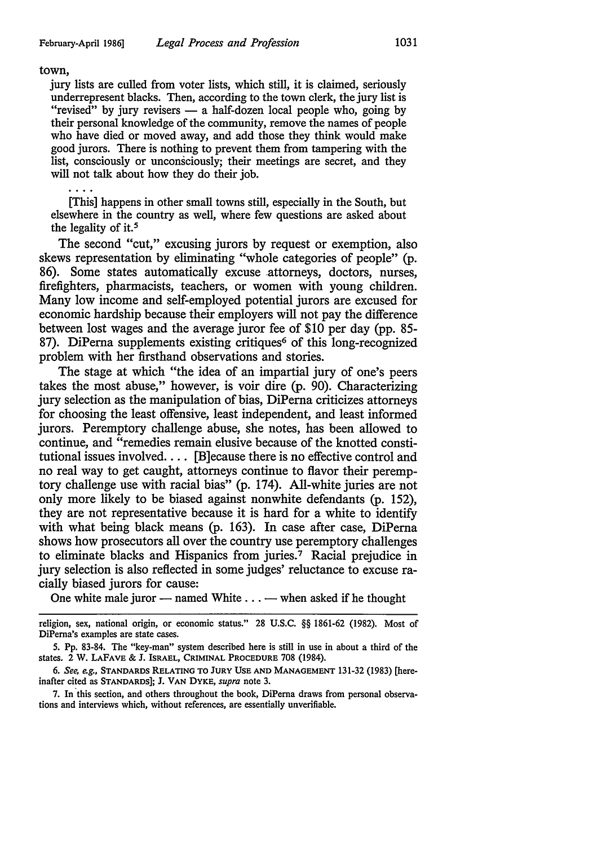## town,

jury lists are culled from voter lists, which still, it is claimed, seriously underrepresent blacks. Then, according to the town clerk, the jury list is "revised" by jury revisers — a half-dozen local people who, going by their personal knowledge of the community, remove the names of people who have died or moved away, and add those they think would make good jurors. There is nothing to prevent them from tampering with the list, consciously or unconsciously; their meetings are secret, and they will not talk about how they do their job.

[This] happens in other small towns still, especially in the South, but elsewhere in the country as well, where few questions are asked about the legality of it. *<sup>5</sup>*

The second "cut," excusing jurors by request or exemption, also skews representation by eliminating "whole categories of people" (p. 86). Some states automatically excuse attorneys, doctors, nurses, firefighters, pharmacists, teachers, or women with young children. Many low income and self-employed potential jurors are excused for economic hardship because their employers will not pay the difference between lost wages and the average juror fee of \$10 per day (pp. 85- 87). DiPerna supplements existing critiques<sup>6</sup> of this long-recognized problem with her firsthand observations and stories.

The stage at which "the idea of an impartial jury of one's peers takes the most abuse," however, is voir dire (p. 90). Characterizing jury selection as the manipulation of bias, DiPerna criticizes attorneys for choosing the least offensive, least independent, and least informed jurors. Peremptory challenge abuse, she notes, has been allowed to continue, and "remedies remain elusive because of the knotted constitutional issues involved. . . . [B]ecause there is no effective control and no real way to get caught, attorneys continue to flavor their peremptory challenge use with racial bias" (p. 174). All-white juries are not only more likely to be biased against nonwhite defendants (p. 152), they are not representative because it is hard for a white to identify with what being black means (p. 163). In case after case, DiPerna shows how prosecutors all over the country use peremptory challenges to eliminate blacks and Hispanics from juries.<sup>7</sup> Racial prejudice in jury selection is also reflected in some judges' reluctance to excuse racially biased jurors for cause:

One white male juror - named White . . . - when asked if he thought

7. In this section, and others throughout the book, DiPerna draws from personal observations and interviews which, without references, are essentially unverifiable.

religion, sex, national origin, or economic status." 28 U.S.C. §§ 1861-62 (1982). Most of DiPerna's examples are state cases.

<sup>5.</sup> Pp. 83-84. The "key-man" system described here is still in use in about a third of the states. 2 W. LAFAVE & J. ISRAEL, CRIMINAL PROCEDURE 708 (1984).

<sup>6.</sup> *See, e.g.,* STANDARDS RELATING TO JURY USE AND MANAGEMENT 131-32 (1983) [hereinafter cited as STANDARDS]; J. VAN DYKE, *supra* note 3.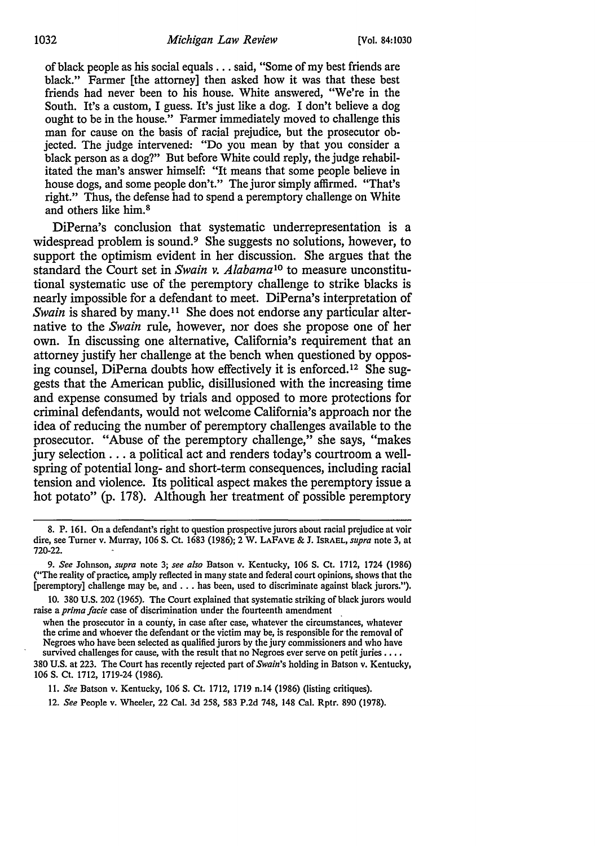of black people as his social equals ... said, "Some of my best friends are black." Farmer [the attorney] then asked how it was that these best friends had never been to his house. White answered, "We're in the South. It's a custom, I guess. It's just like a dog. I don't believe a dog ought to be in the house." Farmer immediately moved to challenge this man for cause on the basis of racial prejudice, but the prosecutor objected. The judge intervened: "Do you mean by that you consider a black person as a dog?" But before White could reply, the judge rehabilitated the man's answer himself: "It means that some people believe in house dogs, and some people don't." The juror simply affirmed. "That's right." Thus, the defense had to spend a peremptory challenge on White and others like him. 8

DiPerna's conclusion that systematic underrepresentation is a widespread problem is sound.<sup>9</sup> She suggests no solutions, however, to support the optimism evident in her discussion. She argues that the standard the Court set in *Swain v. Alabama*10 to measure unconstitutional systematic use of the peremptory challenge to strike blacks is nearly impossible for a defendant to meet. DiPerna's interpretation of *Swain* is shared by many.<sup>11</sup> She does not endorse any particular alternative to the *Swain* rule, however, nor does she propose one of her own. In discussing one alternative, California's requirement that an attorney justify her challenge at the bench when questioned by opposing counsel, DiPerna doubts how effectively it is enforced. 12 She suggests that the American public, disillusioned with the increasing time and expense consumed by trials and opposed to more protections for criminal defendants, would not welcome California's approach nor the idea of reducing the number of peremptory challenges available to the prosecutor. "Abuse of the peremptory challenge," she says, "makes jury selection ... a political act and renders today's courtroom a wellspring of potential long- and short-term consequences, including racial tension and violence. Its political aspect makes the peremptory issue a hot potato" (p. 178). Although her treatment of possible peremptory

when the prosecutor in a county, in case after case, whatever the circumstances, whatever the crime and whoever the defendant or the victim may be, is responsible for the removal of Negroes who have been selected as qualified jurors by the jury commissioners and who have survived challenges for cause, with the result that no Negroes ever serve on petit juries . . . .

380 U.S. at 223. The Court has recently rejected part of *Swain's* holding in Batson v. Kentucky, 106 S. Ct. 1712, 1719-24 (1986).

11. *See* Batson v. Kentucky, 106 S. Ct. 1712, 1719 n.14 (1986) (listing critiques).

12. *See* People v. Wheeler, 22 Cal. 3d 258, 583 P.2d 748, 148 Cal. Rptr. 890 (1978).

<sup>8.</sup> P. 161. On a defendant's right to question prospective jurors about racial prejudice at voir dire, see Turner v. Murray, 106 S. Ct. 1683 (1986); 2 W. LAFAVE & J. ISRAEL, *supra* note 3, at 720-22.

<sup>9.</sup> *See* Johnson, *supra* note 3; *see also* Batson v. Kentucky, 106 S. Ct. 1712, 1724 (1986) ("The reality of practice, amply reflected in many state and federal court opinions, shows that the [peremptory] challenge may be, and ... has been, used to discriminate against black jurors."),

<sup>10. 380</sup> U.S. 202 (1965). The Court explained that systematic striking of black jurors would raise a *prima facie* case of discrimination under the fourteenth amendment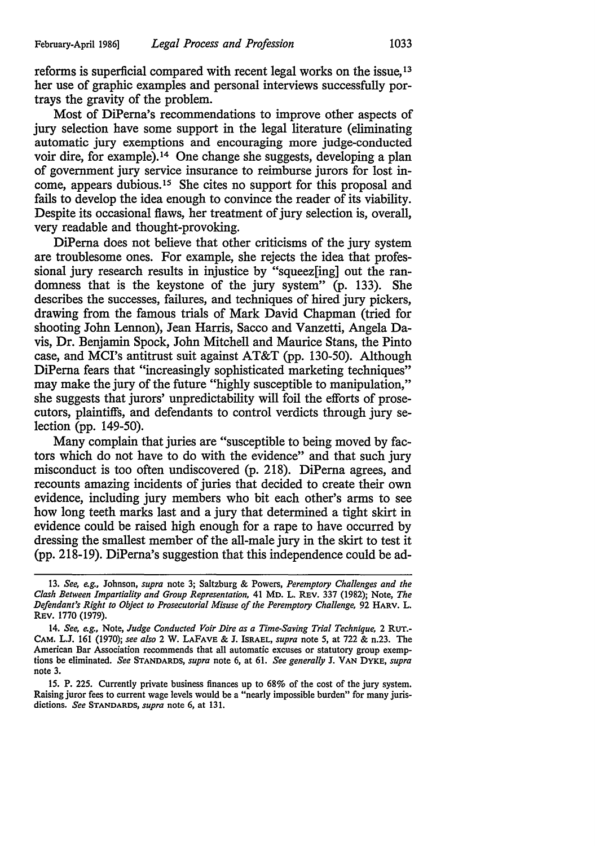reforms is superficial compared with recent legal works on the issue, 13 her use of graphic examples and personal interviews successfully portrays the gravity of the problem.

Most of DiPema's recommendations to improve other aspects of jury selection have some support in the legal literature (eliminating automatic jury exemptions and encouraging more judge-conducted voir dire, for example). 14 One change she suggests, developing a plan of government jury service insurance to reimburse jurors for lost income, appears dubious. 15 She cites no support for this proposal and fails to develop the idea enough to convince the reader of its viability. Despite its occasional flaws, her treatment of jury selection is, overall, very readable and thought-provoking.

DiPema does not believe that other criticisms of the jury system are troublesome ones. For example, she rejects the idea that professional jury research results in injustice by "squeez[ing] out the randomness that is the keystone of the jury system" (p. 133). She describes the successes, failures, and techniques of hired jury pickers, drawing from the famous trials of Mark David Chapman (tried for shooting John Lennon), Jean Harris, Sacco and Vanzetti, Angela Davis, Dr. Benjamin Spock, John Mitchell and Maurice Stans, the Pinto case, and MCI's antitrust suit against AT&T (pp. 130-50). Although DiPerna fears that "increasingly sophisticated marketing techniques" may make the jury of the future "highly susceptible to manipulation," she suggests that jurors' unpredictability will foil the efforts of prosecutors, plaintiffs, and defendants to control verdicts through jury selection (pp. 149-50).

Many complain that juries are "susceptible to being moved by factors which do not have to do with the evidence" and that such jury misconduct is too often undiscovered (p. 218). DiPema agrees, and recounts amazing incidents of juries that decided to create their own evidence, including jury members who bit each other's arms to see how long teeth marks last and a jury that determined a tight skirt in evidence could be raised high enough for a rape to have occurred by dressing the smallest member of the all-male jury in the skirt to test it (pp. 218-19). DiPema's suggestion that this independence could be ad-

<sup>13.</sup> *See, e.g.,* Johnson, *supra* note 3; Saltzburg & Powers, *Peremptory Challenges and the Clash Between Impartiality and Group Representation,* 41 Mo. L. REv. 337 (1982); Note, *The Defendant's Right to Object to Prosecutorial Misuse of the Peremptory Challenge,* 92 HARV. L. REV. 1770 (1979).

<sup>14.</sup> *See, e.g.,* Note, *Judge Conducted Voir Dire as a Time-Saving Trial Technique,* 2 RUT.- CAM. L.J. 161 (1970); *see also* 2 W. LAFAVE & J. ISRAEL, *supra* note 5, at 722 & n.23. The American Bar Association recommends that all automatic excuses or statutory group exemptions be eliminated. *See* STANDARDS, *supra* note 6, at 61. *See generally* J. VAN DYKE, *supra*  note 3.

<sup>15.</sup> P. 225. Currently private business finances up to 68% of the cost of the jury system. Raising juror fees to current wage levels would be a "nearly impossible burden" for many jurisdictions. *See* STANDARDS, *supra* note 6, at 131.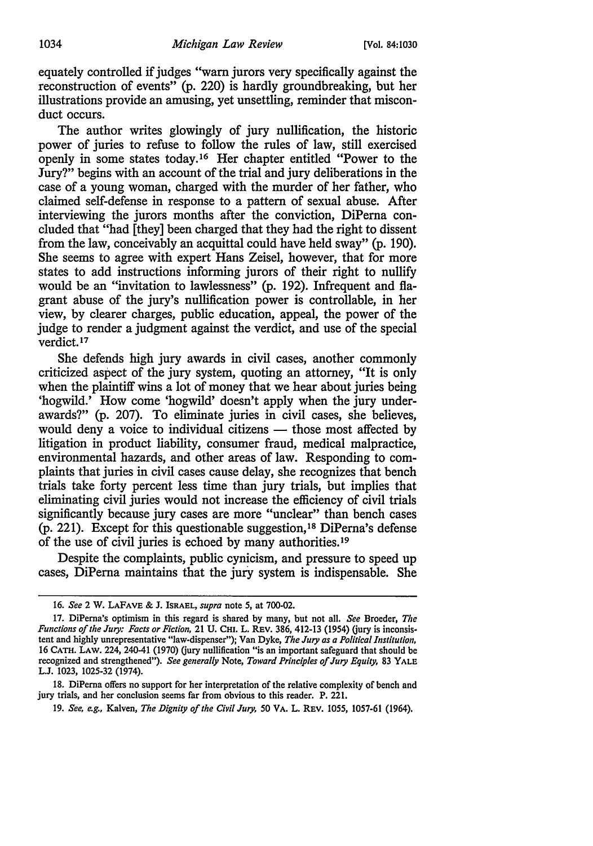equately controlled if judges "warn jurors very specifically against the reconstruction of events" (p. 220) is hardly groundbreaking, but her illustrations provide an amusing, yet unsettling, reminder that misconduct occurs.

The author writes glowingly of jury nullification, the historic power of juries to refuse to follow the rules of law, still exercised openly in some states today. 16 Her chapter entitled "Power to the Jury?" begins with an account of the trial and jury deliberations in the case of a young woman, charged with the murder of her father, who claimed self-defense in response to a pattern of sexual abuse. After interviewing the jurors months after the conviction, DiPerna concluded that "had [they] been charged that they had the right to dissent from the law, conceivably an acquittal could have held sway" (p. 190). She seems to agree with expert Hans Zeisel, however, that for more states to add instructions informing jurors of their right to nullify would be an "invitation to lawlessness" (p. 192). Infrequent and flagrant abuse of the jury's nullification power is controllable, in her view, by clearer charges, public education, appeal, the power of the judge to render a judgment against the verdict, and use of the special verdict.17

She defends high jury awards in civil cases, another commonly criticized aspect of the jury system, quoting an attorney, "It is only when the plaintiff wins a lot of money that we hear about juries being 'hogwild.' How come 'hogwild' doesn't apply when the jury underawards?" (p. 207). To eliminate juries in civil cases, she believes, would deny a voice to individual citizens  $-$  those most affected by litigation in product liability, consumer fraud, medical malpractice, environmental hazards, and other areas of law. Responding to complaints that juries in civil cases cause delay, she recognizes that bench trials take forty percent less time than jury trials, but implies that eliminating civil juries would not increase the efficiency of civil trials significantly because jury cases are more "unclear" than bench cases (p. 221). Except for this questionable suggestion, 18 DiPerna's defense of the use of civil juries is echoed by many authorities. 19

Despite the complaints, public cynicism, and pressure to speed up cases, DiPerna maintains that the jury system is indispensable. She

<sup>16.</sup> *See* 2 W. LAFAVE & J. ISRAEL, *supra* note 5, at 700·02.

<sup>17.</sup> DiPerna's optimism in this regard is shared by many, but not all. *See* Broeder, *The Functions of the Jury: Facts or Fiction,* 21 U. CHI. L. REV. 386, 412-13 (1954) (jury is inconsistent and highly unrepresentative "law-dispenser"); Van Dyke, The Jury as a Political Institution, 16 CATH. LAW. 224, 240-41 (1970) (jury nullification "is an important safeguard that should be recognized and strengthened"). *See generally* Note, *Toward Principles of Jury Equity,* 83 YALE. L.J. 1023, 1025-32 (1974).

<sup>18.</sup> DiPerna offers no support for her interpretation of the relative complexity of bench and jury trials, and her conclusion seems far from obvious to this reader. P. 221.

<sup>19.</sup> *See, e.g.,* Kalven, *The Dignity of the Civil Jury,* 50 VA. L. REV. 1055, 1057-61 (1964).